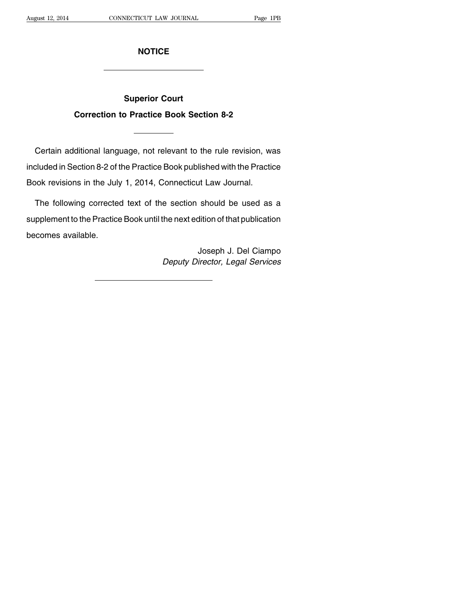## **NOTICE**

## **Superior Court Correction to Practice Book Section 8-2**

Certain additional language, not relevant to the rule revision, was included in Section 8-2 of the Practice Book published with the Practice Book revisions in the July 1, 2014, Connecticut Law Journal.

The following corrected text of the section should be used as a supplement to the Practice Book until the next edition of that publication becomes available.

> Joseph J. Del Ciampo Deputy Director, Legal Services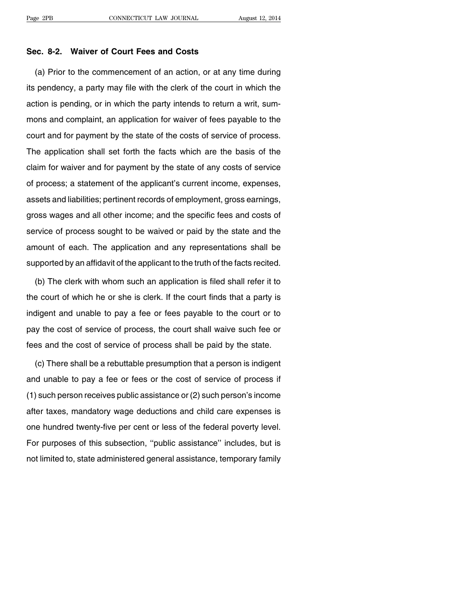## **Sec. 8-2. Waiver of Court Fees and Costs**

(a) Prior to the commencement of an action, or at any time during its pendency, a party may file with the clerk of the court in which the action is pending, or in which the party intends to return a writ, summons and complaint, an application for waiver of fees payable to the court and for payment by the state of the costs of service of process. The application shall set forth the facts which are the basis of the claim for waiver and for payment by the state of any costs of service of process; a statement of the applicant's current income, expenses, assets and liabilities; pertinent records of employment, gross earnings, gross wages and all other income; and the specific fees and costs of service of process sought to be waived or paid by the state and the amount of each. The application and any representations shall be supported by an affidavit of the applicant to the truth of the facts recited.

(b) The clerk with whom such an application is filed shall refer it to the court of which he or she is clerk. If the court finds that a party is indigent and unable to pay a fee or fees payable to the court or to pay the cost of service of process, the court shall waive such fee or fees and the cost of service of process shall be paid by the state.

(c) There shall be a rebuttable presumption that a person is indigent and unable to pay a fee or fees or the cost of service of process if (1) such person receives public assistance or (2) such person's income after taxes, mandatory wage deductions and child care expenses is one hundred twenty-five per cent or less of the federal poverty level. For purposes of this subsection, ''public assistance'' includes, but is not limited to, state administered general assistance, temporary family